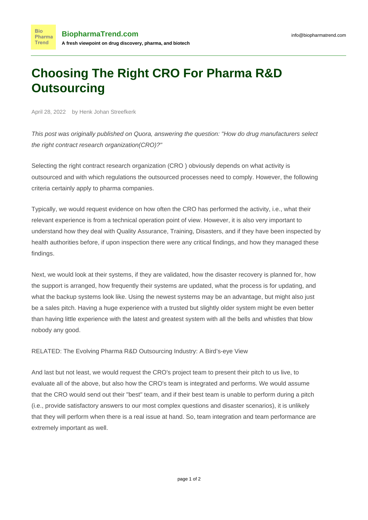## **Choosing The Right CRO For Pharma R&D Outsourcing**

April 28, 2022 by Henk Johan Streefkerk

**Bio** 

**Trend** 

This post was originally published on Quora, answering the question: "[How do drug manufacturers select](https://www.quora.com/How-do-drug-manufacturers-select-the-right-contract-research-organization-CRO) [the right contract research organization\(CRO\)?"](https://www.quora.com/How-do-drug-manufacturers-select-the-right-contract-research-organization-CRO)

Selecting the right contract research organization (CRO ) obviously depends on what activity is outsourced and with which regulations the outsourced processes need to comply. However, the following criteria certainly apply to pharma companies.

Typically, we would request evidence on how often the CRO has performed the activity, i.e., what their relevant experience is from a technical operation point of view. However, it is also very important to understand how they deal with Quality Assurance, Training, Disasters, and if they have been inspected by health authorities before, if upon inspection there were any critical findings, and how they managed these findings.

Next, we would look at their systems, if they are validated, how the disaster recovery is planned for, how the support is arranged, how frequently their systems are updated, what the process is for updating, and what the backup systems look like. Using the newest systems may be an advantage, but might also just be a sales pitch. Having a huge experience with a trusted but slightly older system might be even better than having little experience with the latest and greatest system with all the bells and whistles that blow nobody any good.

RELATED: [The Evolving Pharma R&D Outsourcing Industry: A Bird's-eye View](https://www.biopharmatrend.com/post/146-the-evolving-pharma-rd-outsourcing-industry-a-birds-eye-view/)

And last but not least, we would request the CRO's project team to present their pitch to us live, to evaluate all of the above, but also how the CRO's team is integrated and performs. We would assume that the CRO would send out their "best" team, and if their best team is unable to perform during a pitch (i.e., provide satisfactory answers to our most complex questions and disaster scenarios), it is unlikely that they will perform when there is a real issue at hand. So, team integration and team performance are extremely important as well.